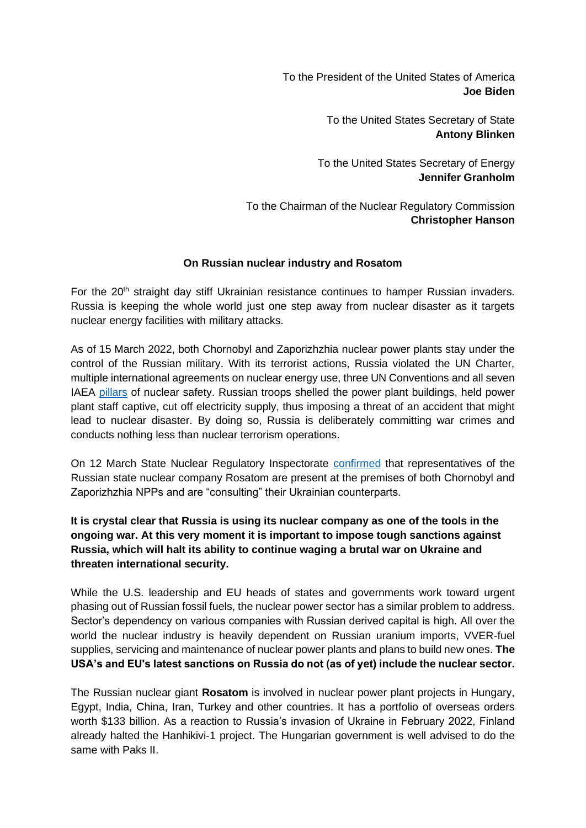To the President of the United States of America **Joe Biden**

> To the United States Secretary of State **Antony Blinken**

To the United States Secretary of Energy **Jennifer Granholm**

To the Chairman of the Nuclear Regulatory Commission **Christopher Hanson**

## **On Russian nuclear industry and Rosatom**

For the 20<sup>th</sup> straight day stiff Ukrainian resistance continues to hamper Russian invaders. Russia is keeping the whole world just one step away from nuclear disaster as it targets nuclear energy facilities with military attacks.

As of 15 March 2022, both Chornobyl and Zaporizhzhia nuclear power plants stay under the control of the Russian military. With its terrorist actions, Russia violated the UN Charter, multiple international agreements on nuclear energy use, three UN Conventions and all seven IAE[A](https://www.oecd-nea.org/jcms/pl_66360/nea-supports-the-iaea-7-pillars-of-nuclear-security-and-safety) [pillars](https://www.oecd-nea.org/jcms/pl_66360/nea-supports-the-iaea-7-pillars-of-nuclear-security-and-safety) of nuclear safety. Russian troops shelled the power plant buildings, held power plant staff captive, cut off electricity supply, thus imposing a threat of an accident that might lead to nuclear disaster. By doing so, Russia is deliberately committing war crimes and conducts nothing less than nuclear terrorism operations.

On 12 March State Nuclear Regulatory Inspectorat[e](https://snriu.gov.ua/en/news/zaporizhzhia-npp-status-update-12-march-2022) [confirmed](https://snriu.gov.ua/en/news/zaporizhzhia-npp-status-update-12-march-2022) that representatives of the Russian state nuclear company Rosatom are present at the premises of both Chornobyl and Zaporizhzhia NPPs and are "consulting" their Ukrainian counterparts.

## **It is crystal clear that Russia is using its nuclear company as one of the tools in the ongoing war. At this very moment it is important to impose tough sanctions against Russia, which will halt its ability to continue waging a brutal war on Ukraine and threaten international security.**

While the U.S. leadership and EU heads of states and governments work toward urgent phasing out of Russian fossil fuels, the nuclear power sector has a similar problem to address. Sector's dependency on various companies with Russian derived capital is high. All over the world the nuclear industry is heavily dependent on Russian uranium imports, VVER-fuel supplies, servicing and maintenance of nuclear power plants and plans to build new ones. **The USA's and EU's latest sanctions on Russia do not (as of yet) include the nuclear sector.**

The Russian nuclear giant **Rosatom** is involved in nuclear power plant projects in Hungary, Egypt, India, China, Iran, Turkey and other countries. It has a portfolio of overseas orders worth \$133 billion. As a reaction to Russia's invasion of Ukraine in February 2022, Finland already halted the Hanhikivi-1 project. The Hungarian government is well advised to do the same with Paks II.